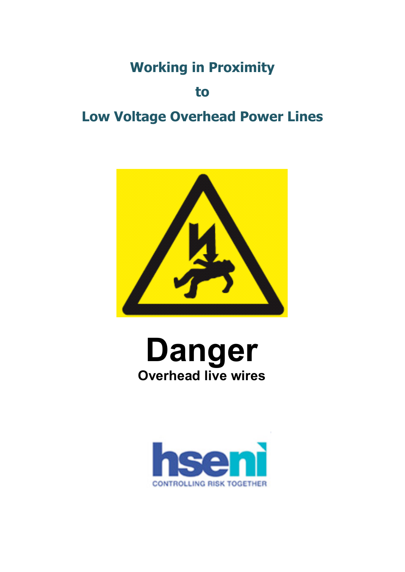# **Working in Proximity**

**to**

# **Low Voltage Overhead Power Lines**



# **Danger Overhead live wires**

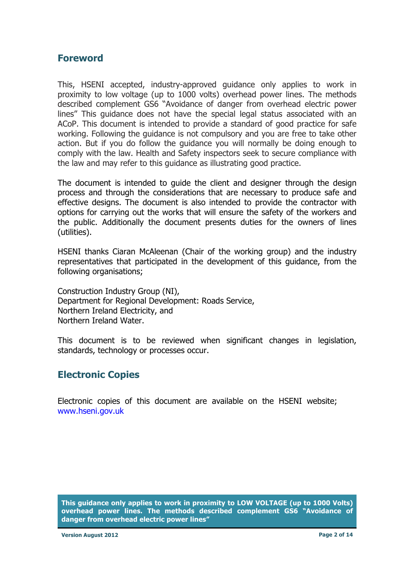#### <span id="page-1-0"></span>**Foreword**

 This, HSENI accepted, industry-approved guidance only applies to work in proximity to low voltage (up to 1000 volts) overhead power lines. The methods described complement GS6 "Avoidance of danger from overhead electric power lines" This guidance does not have the special legal status associated with an ACoP. This document is intended to provide a standard of good practice for safe working. Following the guidance is not compulsory and you are free to take other action. But if you do follow the guidance you will normally be doing enough to comply with the law. Health and Safety inspectors seek to secure compliance with the law and may refer to this guidance as illustrating good practice.

 The document is intended to guide the client and designer through the design process and through the considerations that are necessary to produce safe and effective designs. The document is also intended to provide the contractor with options for carrying out the works that will ensure the safety of the workers and the public. Additionally the document presents duties for the owners of lines (utilities).

 HSENI thanks Ciaran McAleenan (Chair of the working group) and the industry representatives that participated in the development of this guidance, from the following organisations;

 Construction Industry Group (NI), Department for Regional Development: Roads Service, Northern Ireland Water. Northern Ireland Electricity, and

 This document is to be reviewed when significant changes in legislation, standards, technology or processes occur.

#### **Electronic Copies**

 Electronic copies of this document are available on the HSENI website; www.hseni.gov.uk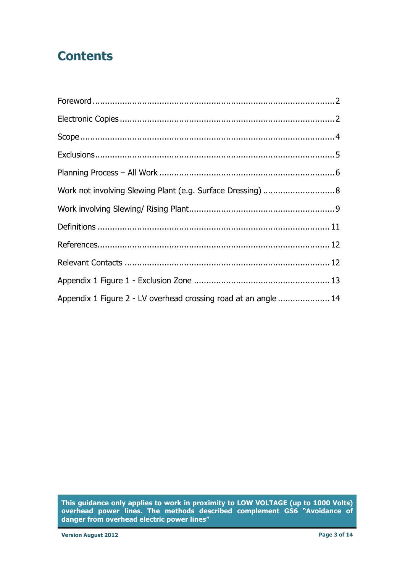## **Contents**

| Work not involving Slewing Plant (e.g. Surface Dressing)  8     |  |
|-----------------------------------------------------------------|--|
|                                                                 |  |
|                                                                 |  |
|                                                                 |  |
|                                                                 |  |
|                                                                 |  |
| Appendix 1 Figure 2 - LV overhead crossing road at an angle  14 |  |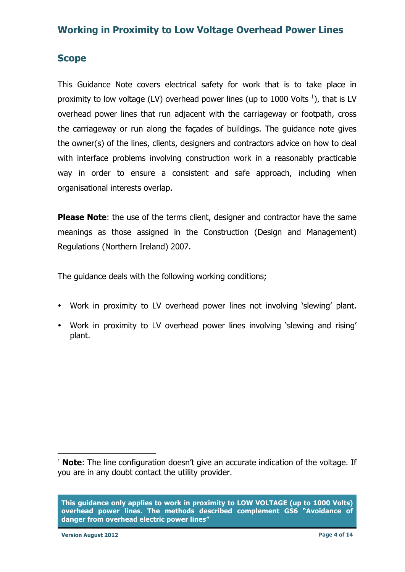#### **Scope**

 This Guidance Note covers electrical safety for work that is to take place in proximity to low voltage (LV) overhead power lines (up to 1000 Volts  $^1$ ), that is LV overhead power lines that run adjacent with the carriageway or footpath, cross the carriageway or run along the façades of buildings. The guidance note gives the owner(s) of the lines, clients, designers and contractors advice on how to deal with interface problems involving construction work in a reasonably practicable way in order to ensure a consistent and safe approach, including when organisational interests overlap.

 **Please Note**: the use of the terms client, designer and contractor have the same meanings as those assigned in the Construction (Design and Management) Regulations (Northern Ireland) 2007.

The guidance deals with the following working conditions;

- • Work in proximity to LV overhead power lines not involving 'slewing' plant.
- • Work in proximity to LV overhead power lines involving 'slewing and rising' plant.

 **This guidance only applies to work in proximity to LOW VOLTAGE (up to 1000 Volts) overhead power lines. The methods described complement GS6 "Avoidance of danger from overhead electric power lines"** 

 $\overline{a}$ 

<sup>&</sup>lt;sup>1</sup> **Note**: The line configuration doesn't give an accurate indication of the voltage. If you are in any doubt contact the utility provider.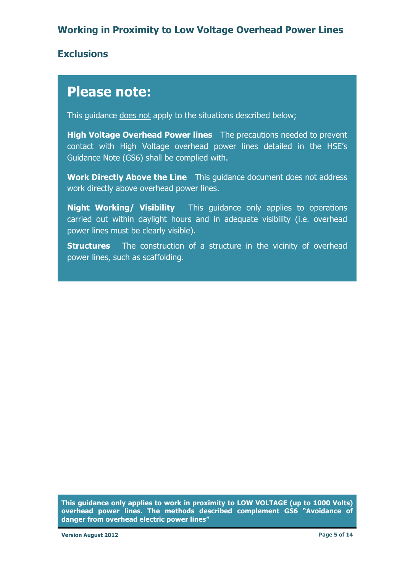#### **Exclusions**

## **Please note:**

This guidance does not apply to the situations described below;

**High Voltage Overhead Power lines** The precautions needed to prevent contact with High Voltage overhead power lines detailed in the HSE's Guidance Note (GS6) shall be complied with.

**Work Directly Above the Line** This guidance document does not address work directly above overhead power lines.

**Night Working/ Visibility** This guidance only applies to operations carried out within daylight hours and in adequate visibility (i.e. overhead power lines must be clearly visible).

**Structures** The construction of a structure in the vicinity of overhead power lines, such as scaffolding.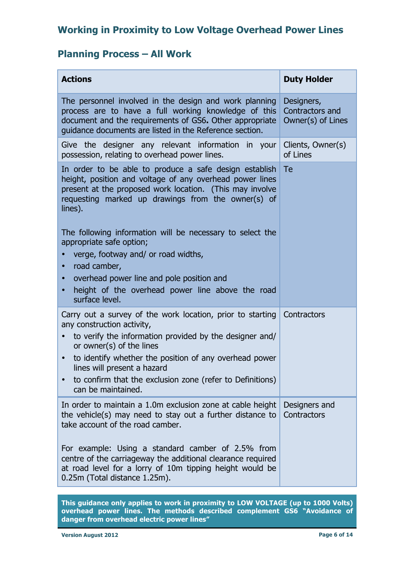#### **Planning Process – All Work**

| <b>Actions</b>                                                                                                                                                                                                                                                                                                                                                                                                                                                                                                     | <b>Duty Holder</b>                                 |
|--------------------------------------------------------------------------------------------------------------------------------------------------------------------------------------------------------------------------------------------------------------------------------------------------------------------------------------------------------------------------------------------------------------------------------------------------------------------------------------------------------------------|----------------------------------------------------|
| The personnel involved in the design and work planning<br>process are to have a full working knowledge of this<br>document and the requirements of GS6. Other appropriate<br>guidance documents are listed in the Reference section.                                                                                                                                                                                                                                                                               | Designers,<br>Contractors and<br>Owner(s) of Lines |
| Give the designer any relevant information in your<br>possession, relating to overhead power lines.                                                                                                                                                                                                                                                                                                                                                                                                                | Clients, Owner(s)<br>of Lines                      |
| In order to be able to produce a safe design establish<br>height, position and voltage of any overhead power lines<br>present at the proposed work location. (This may involve<br>requesting marked up drawings from the owner(s) of<br>lines).<br>The following information will be necessary to select the<br>appropriate safe option;<br>verge, footway and/ or road widths,<br>road camber,<br>overhead power line and pole position and<br>height of the overhead power line above the road<br>surface level. | Te                                                 |
| Carry out a survey of the work location, prior to starting<br>any construction activity,<br>to verify the information provided by the designer and/<br>$\bullet$<br>or owner(s) of the lines<br>to identify whether the position of any overhead power<br>$\bullet$<br>lines will present a hazard<br>to confirm that the exclusion zone (refer to Definitions)<br>can be maintained.                                                                                                                              | Contractors                                        |
| In order to maintain a 1.0m exclusion zone at cable height<br>the vehicle(s) may need to stay out a further distance to<br>take account of the road camber.<br>For example: Using a standard camber of 2.5% from<br>centre of the carriageway the additional clearance required<br>at road level for a lorry of 10m tipping height would be<br>0.25m (Total distance 1.25m).                                                                                                                                       | Designers and<br>Contractors                       |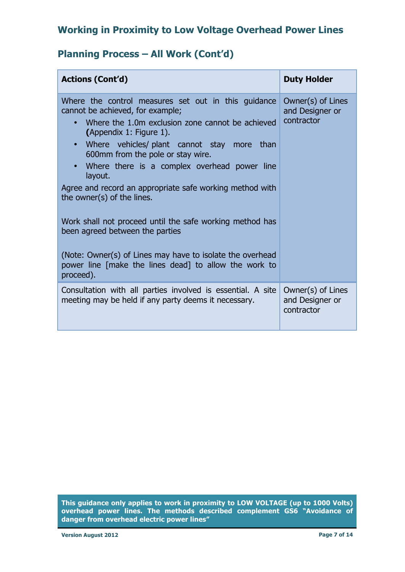#### **Planning Process – All Work (Cont'd)**

| <b>Actions (Cont'd)</b>                                                                                                                                                                                                                                                                                                                                                                                                                                                                                                     | <b>Duty Holder</b>                                 |
|-----------------------------------------------------------------------------------------------------------------------------------------------------------------------------------------------------------------------------------------------------------------------------------------------------------------------------------------------------------------------------------------------------------------------------------------------------------------------------------------------------------------------------|----------------------------------------------------|
| Where the control measures set out in this guidance<br>cannot be achieved, for example;<br>Where the 1.0m exclusion zone cannot be achieved<br>$\bullet$<br>(Appendix 1: Figure 1).<br>Where vehicles/ plant cannot stay more than<br>600mm from the pole or stay wire.<br>Where there is a complex overhead power line<br>layout.<br>Agree and record an appropriate safe working method with<br>the owner(s) of the lines.<br>Work shall not proceed until the safe working method has<br>been agreed between the parties | Owner(s) of Lines<br>and Designer or<br>contractor |
| (Note: Owner(s) of Lines may have to isolate the overhead<br>power line [make the lines dead] to allow the work to<br>proceed).                                                                                                                                                                                                                                                                                                                                                                                             |                                                    |
| Consultation with all parties involved is essential. A site<br>meeting may be held if any party deems it necessary.                                                                                                                                                                                                                                                                                                                                                                                                         | Owner(s) of Lines<br>and Designer or<br>contractor |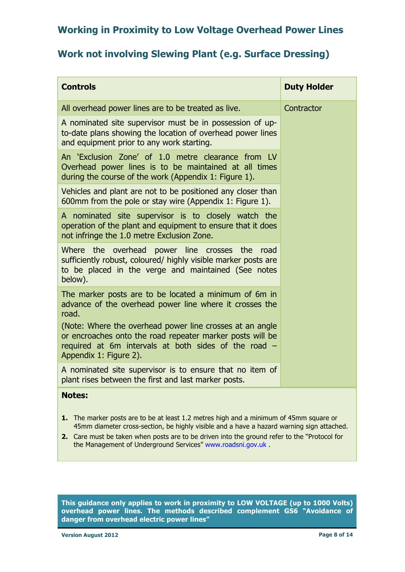#### **Work not involving Slewing Plant (e.g. Surface Dressing)**

| <b>Controls</b>                                                                                                                                                                             | <b>Duty Holder</b> |
|---------------------------------------------------------------------------------------------------------------------------------------------------------------------------------------------|--------------------|
| All overhead power lines are to be treated as live.                                                                                                                                         | Contractor         |
| A nominated site supervisor must be in possession of up-<br>to-date plans showing the location of overhead power lines<br>and equipment prior to any work starting.                         |                    |
| An 'Exclusion Zone' of 1.0 metre clearance from LV<br>Overhead power lines is to be maintained at all times<br>during the course of the work (Appendix 1: Figure 1).                        |                    |
| Vehicles and plant are not to be positioned any closer than<br>600mm from the pole or stay wire (Appendix 1: Figure 1).                                                                     |                    |
| A nominated site supervisor is to closely watch the<br>operation of the plant and equipment to ensure that it does<br>not infringe the 1.0 metre Exclusion Zone.                            |                    |
| Where<br>the<br>overhead power line crosses the<br>road<br>sufficiently robust, coloured/ highly visible marker posts are<br>to be placed in the verge and maintained (See notes<br>below). |                    |
| The marker posts are to be located a minimum of 6m in<br>advance of the overhead power line where it crosses the<br>road.<br>(Note: Where the overhead power line crosses at an angle       |                    |
| or encroaches onto the road repeater marker posts will be<br>required at 6m intervals at both sides of the road -<br>Appendix 1: Figure 2).                                                 |                    |
| A nominated site supervisor is to ensure that no item of<br>plant rises between the first and last marker posts.                                                                            |                    |
| <b>Notes:</b>                                                                                                                                                                               |                    |

- **1.** The marker posts are to be at least 1.2 metres high and a minimum of 45mm square or 45mm diameter cross-section, be highly visible and a have a hazard warning sign attached.
- **2.** Care must be taken when posts are to be driven into the ground refer to the "Protocol for the Management of Underground Services" www.roadsni.gov.uk .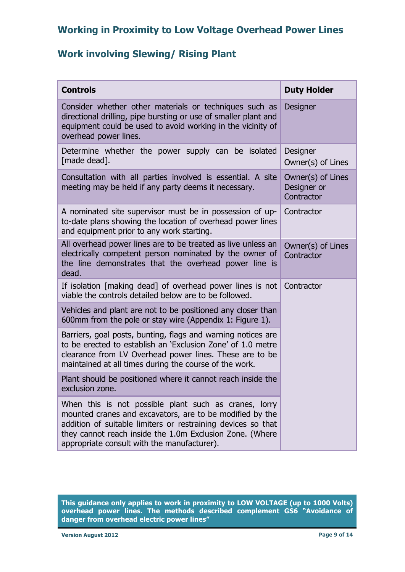#### **Work involving Slewing/ Rising Plant**

| <b>Controls</b>                                                                                                                                                                                                                                                                              | <b>Duty Holder</b>                             |  |
|----------------------------------------------------------------------------------------------------------------------------------------------------------------------------------------------------------------------------------------------------------------------------------------------|------------------------------------------------|--|
| Consider whether other materials or techniques such as<br>directional drilling, pipe bursting or use of smaller plant and<br>equipment could be used to avoid working in the vicinity of<br>overhead power lines.                                                                            | <b>Designer</b>                                |  |
| Determine whether the power supply can be isolated<br>[made dead].                                                                                                                                                                                                                           | Designer<br>Owner(s) of Lines                  |  |
| Consultation with all parties involved is essential. A site<br>meeting may be held if any party deems it necessary.                                                                                                                                                                          | Owner(s) of Lines<br>Designer or<br>Contractor |  |
| A nominated site supervisor must be in possession of up-<br>to-date plans showing the location of overhead power lines<br>and equipment prior to any work starting.                                                                                                                          | Contractor                                     |  |
| All overhead power lines are to be treated as live unless an<br>electrically competent person nominated by the owner of<br>the line demonstrates that the overhead power line is<br>dead.                                                                                                    | Owner(s) of Lines<br>Contractor                |  |
| If isolation [making dead] of overhead power lines is not<br>viable the controls detailed below are to be followed.                                                                                                                                                                          | Contractor                                     |  |
| Vehicles and plant are not to be positioned any closer than<br>600mm from the pole or stay wire (Appendix 1: Figure 1).                                                                                                                                                                      |                                                |  |
| Barriers, goal posts, bunting, flags and warning notices are<br>to be erected to establish an 'Exclusion Zone' of 1.0 metre<br>clearance from LV Overhead power lines. These are to be<br>maintained at all times during the course of the work.                                             |                                                |  |
| Plant should be positioned where it cannot reach inside the<br>exclusion zone.                                                                                                                                                                                                               |                                                |  |
| When this is not possible plant such as cranes, lorry<br>mounted cranes and excavators, are to be modified by the<br>addition of suitable limiters or restraining devices so that<br>they cannot reach inside the 1.0m Exclusion Zone. (Where<br>appropriate consult with the manufacturer). |                                                |  |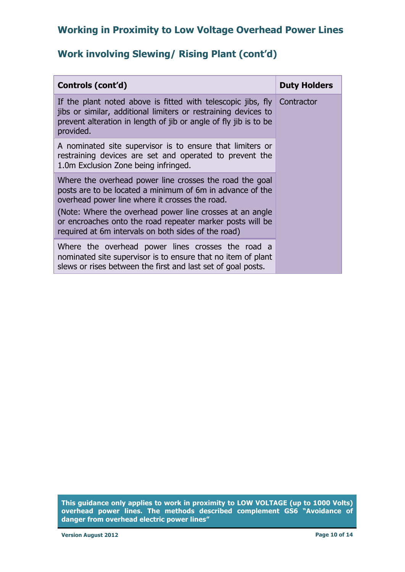#### **Work involving Slewing/ Rising Plant (cont'd)**

| Controls (cont'd)                                                                                                                                                                                                                  | <b>Duty Holders</b> |
|------------------------------------------------------------------------------------------------------------------------------------------------------------------------------------------------------------------------------------|---------------------|
| If the plant noted above is fitted with telescopic jibs, fly $\vert$ Contractor<br>jibs or similar, additional limiters or restraining devices to<br>prevent alteration in length of jib or angle of fly jib is to be<br>provided. |                     |
| A nominated site supervisor is to ensure that limiters or<br>restraining devices are set and operated to prevent the<br>1.0m Exclusion Zone being infringed.                                                                       |                     |
| Where the overhead power line crosses the road the goal<br>posts are to be located a minimum of 6m in advance of the<br>overhead power line where it crosses the road.                                                             |                     |
| (Note: Where the overhead power line crosses at an angle<br>or encroaches onto the road repeater marker posts will be<br>required at 6m intervals on both sides of the road)                                                       |                     |
| Where the overhead power lines crosses the road a<br>nominated site supervisor is to ensure that no item of plant<br>slews or rises between the first and last set of goal posts.                                                  |                     |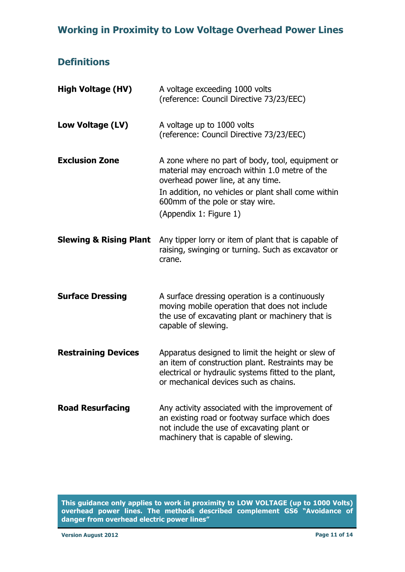#### **Definitions**

| <b>High Voltage (HV)</b>          | A voltage exceeding 1000 volts<br>(reference: Council Directive 73/23/EEC)                                                                                                                                                                                 |
|-----------------------------------|------------------------------------------------------------------------------------------------------------------------------------------------------------------------------------------------------------------------------------------------------------|
| Low Voltage (LV)                  | A voltage up to 1000 volts<br>(reference: Council Directive 73/23/EEC)                                                                                                                                                                                     |
| <b>Exclusion Zone</b>             | A zone where no part of body, tool, equipment or<br>material may encroach within 1.0 metre of the<br>overhead power line, at any time.<br>In addition, no vehicles or plant shall come within<br>600mm of the pole or stay wire.<br>(Appendix 1: Figure 1) |
| <b>Slewing &amp; Rising Plant</b> | Any tipper lorry or item of plant that is capable of<br>raising, swinging or turning. Such as excavator or<br>crane.                                                                                                                                       |
| <b>Surface Dressing</b>           | A surface dressing operation is a continuously<br>moving mobile operation that does not include<br>the use of excavating plant or machinery that is<br>capable of slewing.                                                                                 |
| <b>Restraining Devices</b>        | Apparatus designed to limit the height or slew of<br>an item of construction plant. Restraints may be<br>electrical or hydraulic systems fitted to the plant,<br>or mechanical devices such as chains.                                                     |
| <b>Road Resurfacing</b>           | Any activity associated with the improvement of<br>an existing road or footway surface which does<br>not include the use of excavating plant or<br>machinery that is capable of slewing.                                                                   |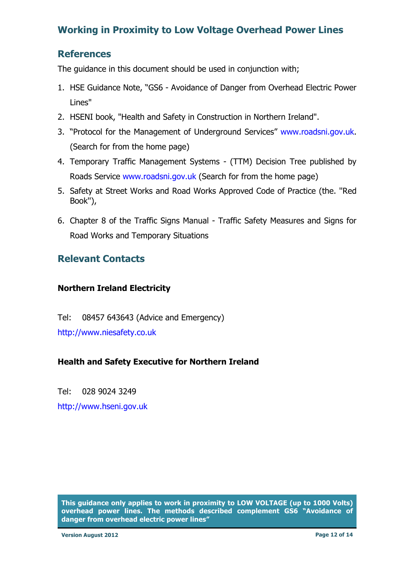#### <span id="page-11-0"></span>**References**

The guidance in this document should be used in conjunction with;

- 1. HSE Guidance Note, "GS6 Avoidance of Danger from Overhead Electric Power Lines"
- 2. HSENI book, "Health and Safety in Construction in Northern Ireland".
- 3. "Protocol for the Management of Underground Services" www.roadsni.gov.uk. (Search for from the home page)
- 4. Temporary Traffic Management Systems (TTM) Decision Tree published by Roads Service www.roadsni.gov.uk (Search for from the home page)
- 5. Safety at Street Works and Road Works Approved Code of Practice (the. ''Red Book''),
- 6. Chapter 8 of the Traffic Signs Manual Traffic Safety Measures and Signs for Road Works and Temporary Situations

#### **Relevant Contacts**

#### **Northern Ireland Electricity**

Tel: 08457 643643 (Advice and Emergency) http://www.niesafety.co.uk

#### **Health and Safety Executive for Northern Ireland**

 http://www.hseni.gov.uk Tel: 028 9024 3249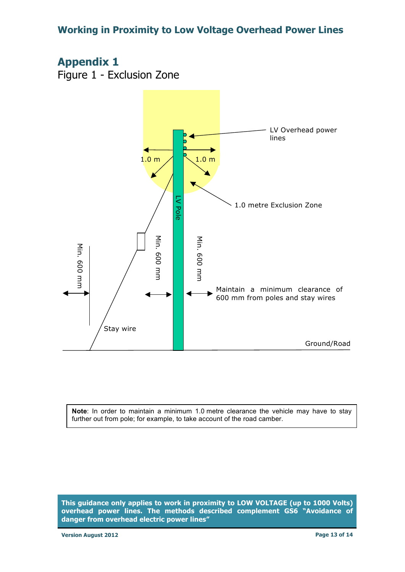### **Appendix 1**

Figure 1 - Exclusion Zone



 **Note**: In order to maintain a minimum 1.0 metre clearance the vehicle may have to stay further out from pole; for example, to take account of the road camber.